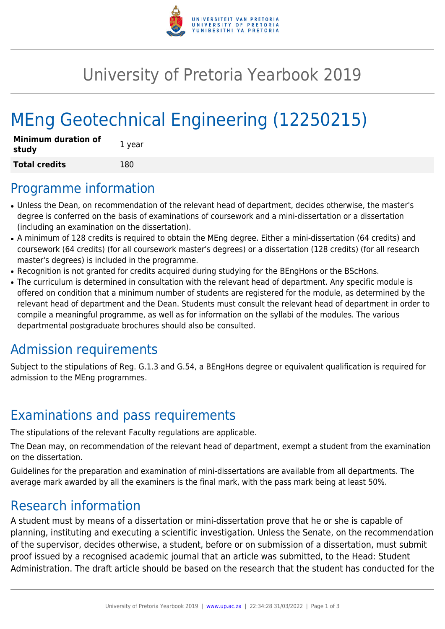

## University of Pretoria Yearbook 2019

# MEng Geotechnical Engineering (12250215)

| <b>Minimum duration of</b><br>study | 1 year |
|-------------------------------------|--------|
| <b>Total credits</b>                | 180    |

#### Programme information

- Unless the Dean, on recommendation of the relevant head of department, decides otherwise, the master's degree is conferred on the basis of examinations of coursework and a mini-dissertation or a dissertation (including an examination on the dissertation).
- A minimum of 128 credits is required to obtain the MEng degree. Either a mini-dissertation (64 credits) and coursework (64 credits) (for all coursework master's degrees) or a dissertation (128 credits) (for all research master's degrees) is included in the programme.
- Recognition is not granted for credits acquired during studying for the BEngHons or the BScHons.
- The curriculum is determined in consultation with the relevant head of department. Any specific module is offered on condition that a minimum number of students are registered for the module, as determined by the relevant head of department and the Dean. Students must consult the relevant head of department in order to compile a meaningful programme, as well as for information on the syllabi of the modules. The various departmental postgraduate brochures should also be consulted.

## Admission requirements

Subject to the stipulations of Reg. G.1.3 and G.54, a BEngHons degree or equivalent qualification is required for admission to the MEng programmes.

## Examinations and pass requirements

The stipulations of the relevant Faculty regulations are applicable.

The Dean may, on recommendation of the relevant head of department, exempt a student from the examination on the dissertation.

Guidelines for the preparation and examination of mini-dissertations are available from all departments. The average mark awarded by all the examiners is the final mark, with the pass mark being at least 50%.

#### Research information

A student must by means of a dissertation or mini-dissertation prove that he or she is capable of planning, instituting and executing a scientific investigation. Unless the Senate, on the recommendation of the supervisor, decides otherwise, a student, before or on submission of a dissertation, must submit proof issued by a recognised academic journal that an article was submitted, to the Head: Student Administration. The draft article should be based on the research that the student has conducted for the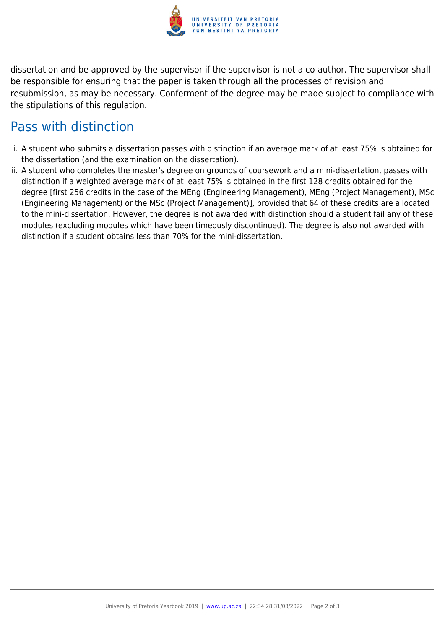

dissertation and be approved by the supervisor if the supervisor is not a co-author. The supervisor shall be responsible for ensuring that the paper is taken through all the processes of revision and resubmission, as may be necessary. Conferment of the degree may be made subject to compliance with the stipulations of this regulation.

#### Pass with distinction

- i. A student who submits a dissertation passes with distinction if an average mark of at least 75% is obtained for the dissertation (and the examination on the dissertation).
- ii. A student who completes the master's degree on grounds of coursework and a mini-dissertation, passes with distinction if a weighted average mark of at least 75% is obtained in the first 128 credits obtained for the degree [first 256 credits in the case of the MEng (Engineering Management), MEng (Project Management), MSc (Engineering Management) or the MSc (Project Management)], provided that 64 of these credits are allocated to the mini-dissertation. However, the degree is not awarded with distinction should a student fail any of these modules (excluding modules which have been timeously discontinued). The degree is also not awarded with distinction if a student obtains less than 70% for the mini-dissertation.